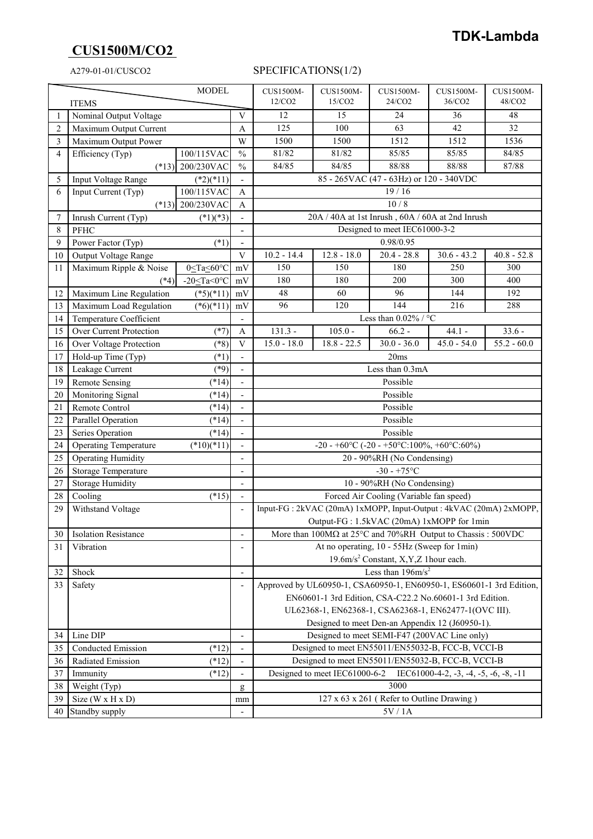# **CUS1500M/CO2**

### A279-01-01/CUSCO2 SPECIFICATIONS(1/2)

| <b>MODEL</b>           |                                                                                        |                                                                                                      |                              | CUS1500M-                                                                                                      | CUS1500M-         | CUS1500M-                               | CUS1500M-     | CUS1500M-     |
|------------------------|----------------------------------------------------------------------------------------|------------------------------------------------------------------------------------------------------|------------------------------|----------------------------------------------------------------------------------------------------------------|-------------------|-----------------------------------------|---------------|---------------|
| <b>ITEMS</b>           |                                                                                        |                                                                                                      |                              | $12/CO2$                                                                                                       | 15/CO2            | 24/CO2                                  | 36/CO2        | 48/CO2        |
| 1                      | Nominal Output Voltage                                                                 |                                                                                                      |                              | 12                                                                                                             | 15                | 24                                      | 36            | 48            |
| $\overline{2}$         | Maximum Output Current                                                                 |                                                                                                      |                              | 125                                                                                                            | 100               | 63                                      | 42            | 32            |
| 3                      | Maximum Output Power                                                                   |                                                                                                      | W                            | 1500                                                                                                           | $\overline{1}500$ | 1512                                    | 1512          | 1536          |
| $\overline{4}$         | Efficiency (Typ)                                                                       | 100/115VAC                                                                                           | $\frac{0}{0}$                | 81/82                                                                                                          | 81/82             | 85/85                                   | 85/85         | 84/85         |
|                        |                                                                                        | $(*13)$ 200/230VAC                                                                                   | $\frac{0}{0}$                | 84/85                                                                                                          | 84/85             | 88/88                                   | 88/88         | 87/88         |
| 5                      | Input Voltage Range                                                                    | $(*2)(*11)$                                                                                          |                              |                                                                                                                |                   | 85 - 265VAC (47 - 63Hz) or 120 - 340VDC |               |               |
| 6                      | Input Current (Typ)                                                                    | 100/115VAC                                                                                           | A                            |                                                                                                                |                   | 19/16                                   |               |               |
|                        | $(*13)$ 200/230VAC                                                                     |                                                                                                      |                              | 10/8                                                                                                           |                   |                                         |               |               |
| $\overline{7}$         | Inrush Current (Typ)<br>$(*1)(*3)$                                                     |                                                                                                      |                              | 20A / 40A at 1st Inrush, 60A / 60A at 2nd Inrush                                                               |                   |                                         |               |               |
| 8                      | PFHC                                                                                   |                                                                                                      |                              | Designed to meet IEC61000-3-2                                                                                  |                   |                                         |               |               |
| 9                      | Power Factor (Typ)                                                                     | $(*1)$                                                                                               | $\overline{a}$               |                                                                                                                |                   | 0.98/0.95                               |               |               |
| 10                     | Output Voltage Range                                                                   |                                                                                                      | V                            | $10.2 - 14.4$                                                                                                  | $12.8 - 18.0$     | $20.4 - 28.8$                           | $30.6 - 43.2$ | $40.8 - 52.8$ |
| 11                     | Maximum Ripple & Noise                                                                 | 0 <ta<60°c< td=""><td>mV</td><td>150</td><td>150</td><td>180</td><td>250</td><td>300</td></ta<60°c<> | mV                           | 150                                                                                                            | 150               | 180                                     | 250           | 300           |
|                        | $(*4)$                                                                                 | -20 $\leq$ Ta<0°C                                                                                    | mV                           | 180                                                                                                            | 180               | 200                                     | 300           | 400           |
| 12                     | Maximum Line Regulation                                                                | $(*5)(*11)$                                                                                          | mV                           | 48                                                                                                             | 60                | 96                                      | 144           | 192           |
| 13                     | Maximum Load Regulation                                                                | $(*6)(*11)$                                                                                          | mV                           | 96                                                                                                             | 120               | 144                                     | 216           | 288           |
| 14                     | Temperature Coefficient                                                                |                                                                                                      |                              | Less than $0.02\%$ / °C                                                                                        |                   |                                         |               |               |
| 15                     | Over Current Protection                                                                | $(*7)$                                                                                               | A                            | $131.3 -$                                                                                                      | $105.0 -$         | $66.2 -$                                | $44.1 -$      | $33.6 -$      |
| 16                     | Over Voltage Protection                                                                | $(*8)$                                                                                               | V                            | $15.0 - 18.0$                                                                                                  | $18.8 - 22.5$     | $30.0 - 36.0$                           | $45.0 - 54.0$ | $55.2 - 60.0$ |
| 17                     | Hold-up Time (Typ)                                                                     | $(*1)$                                                                                               | $\overline{a}$               | 20ms                                                                                                           |                   |                                         |               |               |
| 18                     | Leakage Current                                                                        | $(*9)$                                                                                               |                              | Less than 0.3mA                                                                                                |                   |                                         |               |               |
| 19                     | <b>Remote Sensing</b>                                                                  | $(*14)$                                                                                              |                              | Possible                                                                                                       |                   |                                         |               |               |
| 20                     | Monitoring Signal                                                                      | $(*14)$                                                                                              |                              | Possible                                                                                                       |                   |                                         |               |               |
| 21                     | Remote Control                                                                         | $(*14)$                                                                                              |                              | Possible                                                                                                       |                   |                                         |               |               |
| 22                     | Parallel Operation                                                                     | $(*14)$                                                                                              |                              | Possible                                                                                                       |                   |                                         |               |               |
| 23                     | Series Operation                                                                       | $(*14)$                                                                                              | $\overline{\phantom{0}}$     | Possible                                                                                                       |                   |                                         |               |               |
| 24                     | <b>Operating Temperature</b>                                                           | $(*10)(*11)$                                                                                         | $\overline{a}$               | -20 - +60°C (-20 - +50°C:100%, +60°C:60%)                                                                      |                   |                                         |               |               |
| 25                     | <b>Operating Humidity</b>                                                              |                                                                                                      |                              | 20 - 90%RH (No Condensing)                                                                                     |                   |                                         |               |               |
| 26                     | Storage Temperature                                                                    |                                                                                                      |                              | $-30 - +75$ °C                                                                                                 |                   |                                         |               |               |
| 27                     | <b>Storage Humidity</b>                                                                |                                                                                                      |                              | 10 - 90%RH (No Condensing)                                                                                     |                   |                                         |               |               |
| 28                     | Cooling<br>$(*15)$<br>Forced Air Cooling (Variable fan speed)                          |                                                                                                      |                              |                                                                                                                |                   |                                         |               |               |
| 29                     | Input-FG: 2kVAC (20mA) 1xMOPP, Input-Output: 4kVAC (20mA) 2xMOPP,<br>Withstand Voltage |                                                                                                      |                              |                                                                                                                |                   |                                         |               |               |
|                        |                                                                                        |                                                                                                      |                              | Output-FG: 1.5kVAC (20mA) 1xMOPP for 1min                                                                      |                   |                                         |               |               |
| 30                     | Isolation Resistance<br>-                                                              |                                                                                                      |                              | More than $100\text{M}\Omega$ at $25^{\circ}\text{C}$ and $70\%$ RH Output to Chassis : $500\text{V}\text{DC}$ |                   |                                         |               |               |
| 31                     | Vibration<br>$\overline{a}$                                                            |                                                                                                      |                              | At no operating, 10 - 55Hz (Sweep for 1min)                                                                    |                   |                                         |               |               |
|                        |                                                                                        |                                                                                                      |                              | 19.6m/s <sup>2</sup> Constant, X, Y, Z 1 hour each.                                                            |                   |                                         |               |               |
| 32                     | Shock<br>$\overline{a}$                                                                |                                                                                                      |                              | Less than $196 \text{m/s}^2$                                                                                   |                   |                                         |               |               |
| 33                     | Safety<br>Approved by UL60950-1, CSA60950-1, EN60950-1, ES60601-1 3rd Edition,         |                                                                                                      |                              |                                                                                                                |                   |                                         |               |               |
|                        |                                                                                        |                                                                                                      |                              | EN60601-1 3rd Edition, CSA-C22.2 No.60601-1 3rd Edition.                                                       |                   |                                         |               |               |
|                        |                                                                                        |                                                                                                      |                              | UL62368-1, EN62368-1, CSA62368-1, EN62477-1(OVC III).                                                          |                   |                                         |               |               |
|                        | Designed to meet Den-an Appendix 12 (J60950-1).                                        |                                                                                                      |                              |                                                                                                                |                   |                                         |               |               |
| 34                     | Line DIP                                                                               |                                                                                                      | $\qquad \qquad \blacksquare$ | Designed to meet SEMI-F47 (200VAC Line only)                                                                   |                   |                                         |               |               |
| 35                     | Conducted Emission                                                                     | $(*12)$                                                                                              | $\overline{\phantom{a}}$     | Designed to meet EN55011/EN55032-B, FCC-B, VCCI-B                                                              |                   |                                         |               |               |
| 36                     | Radiated Emission                                                                      | $(*12)$                                                                                              |                              | Designed to meet EN55011/EN55032-B, FCC-B, VCCI-B                                                              |                   |                                         |               |               |
| 37                     | $(*12)$<br>Immunity                                                                    |                                                                                                      |                              | Designed to meet IEC61000-6-2<br>IEC61000-4-2, $-3$ , $-4$ , $-5$ , $-6$ , $-8$ , $-11$                        |                   |                                         |               |               |
| 38                     | Weight (Typ)                                                                           |                                                                                                      |                              | 3000                                                                                                           |                   |                                         |               |               |
| 39<br>Size (W x H x D) |                                                                                        |                                                                                                      | mm                           | 127 x 63 x 261 (Refer to Outline Drawing)                                                                      |                   |                                         |               |               |
| Standby supply<br>40   |                                                                                        |                                                                                                      |                              | 5V / 1A                                                                                                        |                   |                                         |               |               |